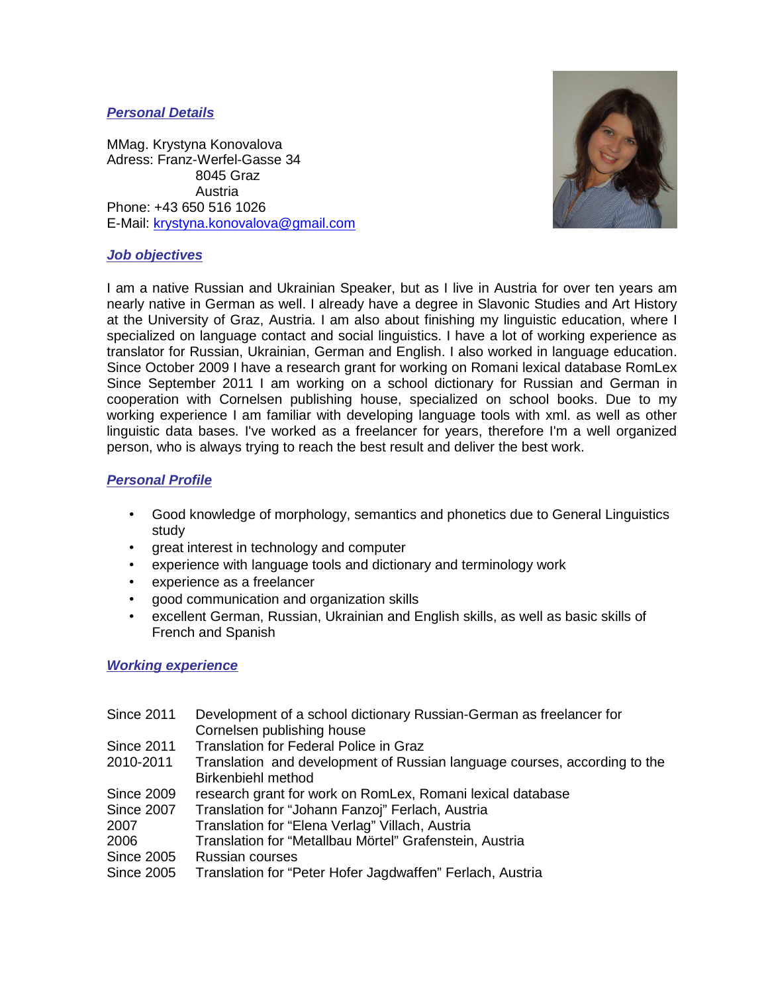# **Personal Details**

MMag. Krystyna Konovalova Adress: Franz-Werfel-Gasse 34 8045 Graz Austria Phone: +43 650 516 1026 E-Mail: krystyna.konovalova@gmail.com



## **Job objectives**

I am a native Russian and Ukrainian Speaker, but as I live in Austria for over ten years am nearly native in German as well. I already have a degree in Slavonic Studies and Art History at the University of Graz, Austria. I am also about finishing my linguistic education, where I specialized on language contact and social linguistics. I have a lot of working experience as translator for Russian, Ukrainian, German and English. I also worked in language education. Since October 2009 I have a research grant for working on Romani lexical database RomLex Since September 2011 I am working on a school dictionary for Russian and German in cooperation with Cornelsen publishing house, specialized on school books. Due to my working experience I am familiar with developing language tools with xml. as well as other linguistic data bases. I've worked as a freelancer for years, therefore I'm a well organized person, who is always trying to reach the best result and deliver the best work.

# **Personal Profile**

- Good knowledge of morphology, semantics and phonetics due to General Linguistics study
- great interest in technology and computer
- experience with language tools and dictionary and terminology work
- experience as a freelancer
- good communication and organization skills
- excellent German, Russian, Ukrainian and English skills, as well as basic skills of French and Spanish

# **Working experience**

- Since 2011 Development of a school dictionary Russian-German as freelancer for Cornelsen publishing house
- Since 2011 Translation for Federal Police in Graz
- 2010-2011 Translation and development of Russian language courses, according to the Birkenbiehl method
- Since 2009 research grant for work on RomLex, Romani lexical database
- Since 2007 Translation for "Johann Fanzoj" Ferlach, Austria
- 2007 Translation for "Elena Verlag" Villach, Austria
- 2006 Translation for "Metallbau Mörtel" Grafenstein, Austria
- Since 2005 Russian courses
- Since 2005 Translation for "Peter Hofer Jagdwaffen" Ferlach, Austria